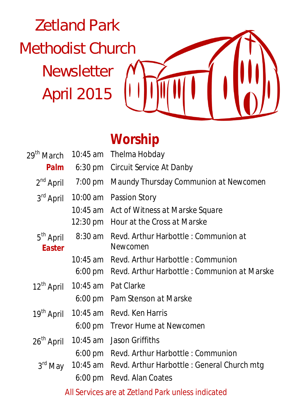Zetland Park Methodist Church Newsletter April 2015



## **Worship**

| 29 <sup>th</sup> March                            |                   | 10:45 am Thelma Hobday                               |  |
|---------------------------------------------------|-------------------|------------------------------------------------------|--|
| Palm                                              |                   | 6:30 pm Circuit Service At Danby                     |  |
| $2^{nd}$ April                                    | $7:00 \text{ pm}$ | Maundy Thursday Communion at Newcomen                |  |
| 3 <sup>rd</sup> April                             |                   | 10:00 am Passion Story                               |  |
|                                                   |                   | 10:45 am Act of Witness at Marske Square             |  |
|                                                   |                   | 12:30 pm Hour at the Cross at Marske                 |  |
| 5 <sup>th</sup> April<br>8:30 am<br><b>Easter</b> |                   | Revd. Arthur Harbottle: Communion at<br>Newcomen     |  |
|                                                   |                   | 10:45 am Revd. Arthur Harbottle: Communion           |  |
|                                                   |                   | 6:00 pm Revd. Arthur Harbottle : Communion at Marske |  |
| 12 <sup>th</sup> April                            |                   | 10:45 am Pat Clarke                                  |  |
|                                                   |                   | 6:00 pm Pam Stenson at Marske                        |  |
| 19 <sup>th</sup> April                            |                   | 10:45 am Revd. Ken Harris                            |  |
|                                                   | $6:00 \text{ pm}$ | Trevor Hume at Newcomen                              |  |
| 26 <sup>th</sup> April                            | 10:45 am          | Jason Griffiths                                      |  |
|                                                   |                   | 6:00 pm Revd. Arthur Harbottle: Communion            |  |
| 3 <sup>rd</sup> May                               |                   | 10:45 am Revd. Arthur Harbottle: General Church mtg  |  |
|                                                   | $6:00 \text{ pm}$ | Revd. Alan Coates                                    |  |
|                                                   |                   | All Services are at Zetland Park unless indicated    |  |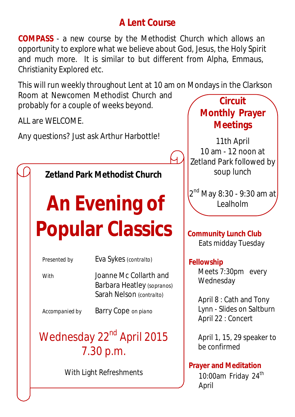#### **A Lent Course**

**COMPASS** - a new course by the Methodist Church which allows an opportunity to explore what we believe about God, Jesus, the Holy Spirit and much more. It is similar to but different from Alpha, Emmaus, Christianity Explored etc.

This will run weekly throughout Lent at 10 am on Mondays in the Clarkson Room at Newcomen Methodist Church and probably for a couple of weeks beyond. **Circuit** 

ALL are WELCOME.

Any questions? Just ask Arthur Harbottle!

**Zetland Park Methodist Church**

# **An Evening of Popular Classics**

| Presented by   | Eva Sykes (contralto)                                                            |  |  |
|----------------|----------------------------------------------------------------------------------|--|--|
| With           | Joanne Mc Collarth and<br>Barbara Heatley (sopranos)<br>Sarah Nelson (contralto) |  |  |
| Accompanied by | Barry Cope on piano                                                              |  |  |

## Wednesday 22<sup>nd</sup> April 2015 7.30 p.m.

With Light Refreshments

# **Monthly Prayer Meetings**

11th April 10 am - 12 noon at Zetland Park followed by soup lunch

2<sup>nd</sup> May 8:30 - 9:30 am at<mark>)</mark> **Lealholm** 

**Community Lunch Club** Eats midday Tuesday

#### **Fellowship**

Meets 7:30pm every Wednesday

April 8 : Cath and Tony Lynn - Slides on Saltburn April 22 : Concert

April 1, 15, 29 speaker to be confirmed

#### **Prayer and Meditation**

10:00am Friday 24<sup>th</sup> April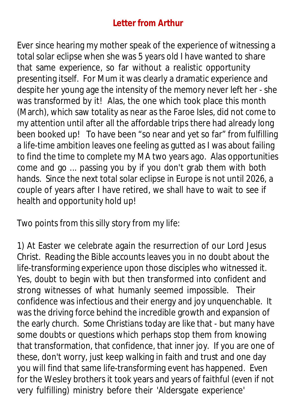#### **Letter from Arthur**

Ever since hearing my mother speak of the experience of witnessing a total solar eclipse when she was 5 years old I have wanted to share that same experience, so far without a realistic opportunity presenting itself. For Mum it was clearly a dramatic experience and despite her young age the intensity of the memory never left her - she was transformed by it! Alas, the one which took place this month (March), which saw totality as near as the Faroe Isles, did not come to my attention until after all the affordable trips there had already long been booked up! To have been "so near and yet so far" from fulfilling a life-time ambition leaves one feeling as gutted as I was about failing to find the time to complete my MA two years ago. Alas opportunities come and go ... passing you by if you don't grab them with both hands. Since the next total solar eclipse in Europe is not until 2026, a couple of years after I have retired, we shall have to wait to see if health and opportunity hold up!

Two points from this silly story from my life:

1) At Easter we celebrate again the resurrection of our Lord Jesus Christ. Reading the Bible accounts leaves you in no doubt about the life-transforming experience upon those disciples who witnessed it. Yes, doubt to begin with but then transformed into confident and strong witnesses of what humanly seemed impossible. Their confidence was infectious and their energy and joy unquenchable. It was the driving force behind the incredible growth and expansion of the early church. Some Christians today are like that - but many have some doubts or questions which perhaps stop them from knowing that transformation, that confidence, that inner joy. If you are one of these, don't worry, just keep walking in faith and trust and one day you will find that same life-transforming event has happened. Even for the Wesley brothers it took years and years of faithful (even if not very fulfilling) ministry before their 'Aldersgate experience'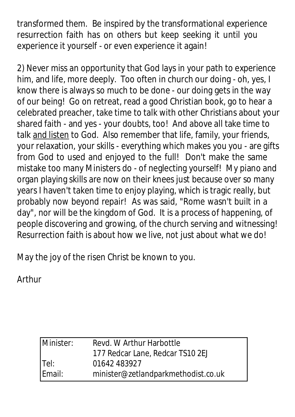transformed them. Be inspired by the transformational experience resurrection faith has on others but keep seeking it until you experience it yourself - or even experience it again!

2) Never miss an opportunity that God lays in your path to experience him, and life, more deeply. Too often in church our doing - oh, yes, I know there is always so much to be done - our doing gets in the way of our being! Go on retreat, read a good Christian book, go to hear a celebrated preacher, take time to talk with other Christians about your shared faith - and yes - your doubts, too! And above all take time to talk and listen to God. Also remember that life, family, your friends, your relaxation, your skills - everything which makes you you - are gifts from God to used and enjoyed to the full! Don't make the same mistake too many Ministers do - of neglecting yourself! My piano and organ playing skills are now on their knees just because over so many years I haven't taken time to enjoy playing, which is tragic really, but probably now beyond repair! As was said, "Rome wasn't built in a day", nor will be the kingdom of God. It is a process of happening, of people discovering and growing, of the church serving and witnessing! Resurrection faith is about how we live, not just about what we do!

May the joy of the risen Christ be known to you.

Arthur

| Minister: | Revd. W Arthur Harbottle            |
|-----------|-------------------------------------|
|           | 177 Redcar Lane, Redcar TS10 2EJ    |
| Tel:      | 01642 483927                        |
| Email:    | minister@zetlandparkmethodist.co.uk |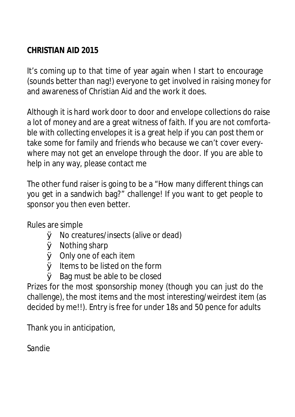#### **CHRISTIAN AID 2015**

It's coming up to that time of year again when I start to encourage (sounds better than nag!) everyone to get involved in raising money for and awareness of Christian Aid and the work it does.

Although it is hard work door to door and envelope collections do raise a lot of money and are a great witness of faith. If you are not comfortable with collecting envelopes it is a great help if you can post them or take some for family and friends who because we can't cover everywhere may not get an envelope through the door. If you are able to help in any way, please contact me

The other fund raiser is going to be a "How many different things can you get in a sandwich bag?" challenge! If you want to get people to sponsor you then even better.

Rules are simple

- Ø No creatures/insects (alive or dead)
- Ø Nothing sharp
- Ø Only one of each item
- $\emptyset$  Items to be listed on the form
- $\varnothing$  Bag must be able to be closed

Prizes for the most sponsorship money (though you can just do the challenge), the most items and the most interesting/weirdest item (as decided by me!!). Entry is free for under 18s and 50 pence for adults

Thank you in anticipation,

Sandie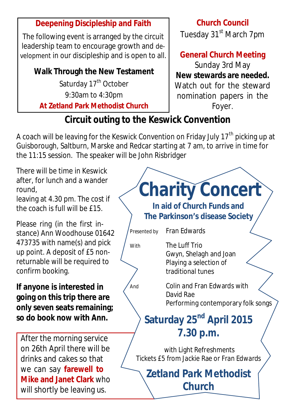#### **Deepening Discipleship and Faith**

The following event is arranged by the circuit leadership team to encourage growth and development in our discipleship and is open to all.

#### **Walk Through the New Testament** Saturday 17<sup>th</sup> October 9:30am to 4:30pm

**At Zetland Park Methodist Church**

#### **Church Council** Tuesday 31<sup>st</sup> March 7pm

**General Church Meeting**

Sunday 3rd May **New stewards are needed.** Watch out for the steward nomination papers in the Foyer.

### **Circuit outing to the Keswick Convention**

A coach will be leaving for the Keswick Convention on Friday July  $17<sup>th</sup>$  picking up at Guisborough, Saltburn, Marske and Redcar starting at 7 am, to arrive in time for the 11:15 session. The speaker will be John Risbridger

There will be time in Keswick after, for lunch and a wander round,

leaving at 4.30 pm. The cost if the coach is full will be £15.

Please ring (in the first instance) Ann Woodhouse 01642 473735 with name(s) and pick up point. A deposit of £5 nonreturnable will be required to confirm booking.

#### **If anyone is interested in going on this trip there are only seven seats remaining; so do book now with Ann.**

After the morning service on 26th April there will be drinks and cakes so that we can say **farewell to Mike and Janet Clark** who will shortly be leaving us.